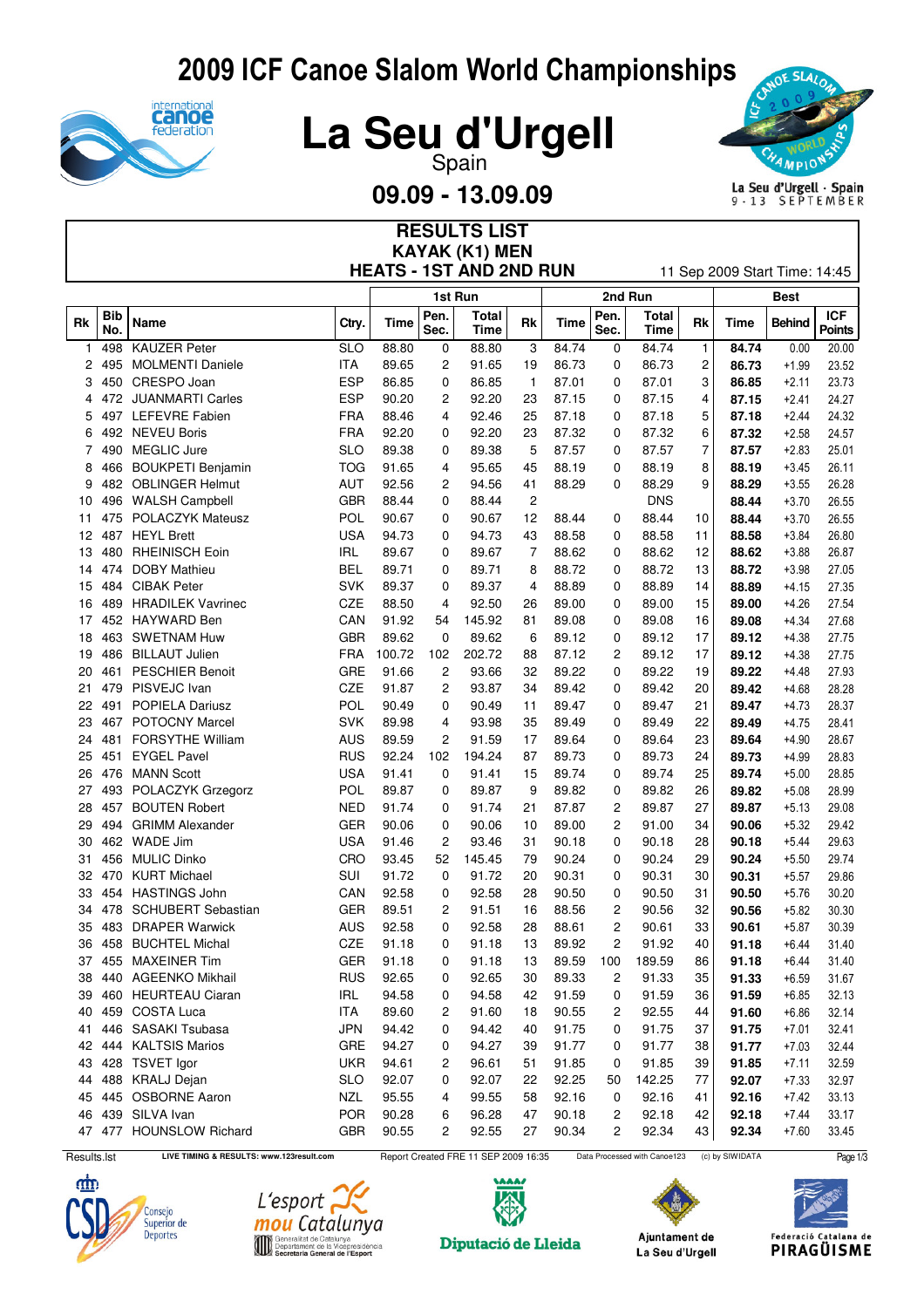## 2009 ICF Canoe Slalom World Championships







**09.09 - 13.09.09**

**RESULTS LIST**



| <b>KAYAK (K1) MEN</b><br><b>HEATS - 1ST AND 2ND RUN</b><br>11 Sep 2009 Start Time: 14:45 |                   |                           |            |        |              |                      |                |       |                |                      |                |       |               |                             |
|------------------------------------------------------------------------------------------|-------------------|---------------------------|------------|--------|--------------|----------------------|----------------|-------|----------------|----------------------|----------------|-------|---------------|-----------------------------|
|                                                                                          |                   |                           |            |        |              | 1st Run              |                |       | 2nd Run        |                      | <b>Best</b>    |       |               |                             |
| Rk                                                                                       | <b>Bib</b><br>No. | Name                      | Ctry.      | Time   | Pen.<br>Sec. | Total<br><b>Time</b> | Rk             | Time  | Pen.<br>Sec.   | Total<br><b>Time</b> | Rk             | Time  | <b>Behind</b> | <b>ICF</b><br><b>Points</b> |
| 1                                                                                        | 498               | <b>KAUZER Peter</b>       | <b>SLO</b> | 88.80  | 0            | 88.80                | 3              | 84.74 | 0              | 84.74                | $\mathbf{1}$   | 84.74 | 0.00          | 20.00                       |
| 2                                                                                        | 495               | <b>MOLMENTI Daniele</b>   | ITA        | 89.65  | 2            | 91.65                | 19             | 86.73 | 0              | 86.73                | $\overline{c}$ | 86.73 | $+1.99$       | 23.52                       |
| 3                                                                                        | 450               | CRESPO Joan               | <b>ESP</b> | 86.85  | 0            | 86.85                | $\mathbf{1}$   | 87.01 | 0              | 87.01                | 3              | 86.85 | $+2.11$       | 23.73                       |
| 4                                                                                        | 472               | <b>JUANMARTI Carles</b>   | <b>ESP</b> | 90.20  | 2            | 92.20                | 23             | 87.15 | 0              | 87.15                | 4              | 87.15 | $+2.41$       | 24.27                       |
| 5                                                                                        | 497               | <b>LEFEVRE Fabien</b>     | <b>FRA</b> | 88.46  | 4            | 92.46                | 25             | 87.18 | 0              | 87.18                | 5              | 87.18 | $+2.44$       | 24.32                       |
| 6                                                                                        | 492               | <b>NEVEU Boris</b>        | <b>FRA</b> | 92.20  | 0            | 92.20                | 23             | 87.32 | 0              | 87.32                | 6              | 87.32 | $+2.58$       | 24.57                       |
| 7                                                                                        | 490               | <b>MEGLIC Jure</b>        | <b>SLO</b> | 89.38  | 0            | 89.38                | 5              | 87.57 | 0              | 87.57                | $\overline{7}$ | 87.57 | $+2.83$       | 25.01                       |
| 8                                                                                        | 466               | <b>BOUKPETI Benjamin</b>  | <b>TOG</b> | 91.65  | 4            | 95.65                | 45             | 88.19 | 0              | 88.19                | 8              | 88.19 | $+3.45$       | 26.11                       |
| 9                                                                                        | 482               | <b>OBLINGER Helmut</b>    | AUT        | 92.56  | 2            | 94.56                | 41             | 88.29 | 0              | 88.29                | 9              | 88.29 | $+3.55$       | 26.28                       |
| 10                                                                                       | 496               | <b>WALSH Campbell</b>     | <b>GBR</b> | 88.44  | 0            | 88.44                | $\overline{c}$ |       |                | <b>DNS</b>           |                | 88.44 | $+3.70$       | 26.55                       |
| 11                                                                                       | 475               | <b>POLACZYK Mateusz</b>   | POL        | 90.67  | 0            | 90.67                | 12             | 88.44 | 0              | 88.44                | 10             | 88.44 | $+3.70$       | 26.55                       |
| 12                                                                                       | 487               | <b>HEYL Brett</b>         | <b>USA</b> | 94.73  | 0            | 94.73                | 43             | 88.58 | 0              | 88.58                | 11             | 88.58 | $+3.84$       | 26.80                       |
| 13                                                                                       | 480               | <b>RHEINISCH Eoin</b>     | <b>IRL</b> | 89.67  | 0            | 89.67                | 7              | 88.62 | 0              | 88.62                | 12             | 88.62 | $+3.88$       | 26.87                       |
| 14                                                                                       | 474               | <b>DOBY Mathieu</b>       | <b>BEL</b> | 89.71  | 0            | 89.71                | 8              | 88.72 | 0              | 88.72                | 13             | 88.72 | $+3.98$       | 27.05                       |
| 15                                                                                       | 484               | <b>CIBAK Peter</b>        | <b>SVK</b> | 89.37  | 0            | 89.37                | 4              | 88.89 | 0              | 88.89                | 14             | 88.89 | $+4.15$       | 27.35                       |
| 16                                                                                       | 489               | <b>HRADILEK Vavrinec</b>  | <b>CZE</b> | 88.50  | 4            | 92.50                | 26             | 89.00 | 0              | 89.00                | 15             | 89.00 | $+4.26$       | 27.54                       |
| 17                                                                                       |                   | 452 HAYWARD Ben           | CAN        | 91.92  | 54           | 145.92               | 81             | 89.08 | 0              | 89.08                | 16             | 89.08 | $+4.34$       | 27.68                       |
| 18                                                                                       | 463               | <b>SWETNAM Huw</b>        | <b>GBR</b> | 89.62  | 0            | 89.62                | 6              | 89.12 | 0              | 89.12                | 17             | 89.12 | $+4.38$       | 27.75                       |
| 19                                                                                       | 486               | <b>BILLAUT Julien</b>     | FRA        | 100.72 | 102          | 202.72               | 88             | 87.12 | 2              | 89.12                | 17             | 89.12 | $+4.38$       | 27.75                       |
| 20                                                                                       | 461               | <b>PESCHIER Benoit</b>    | GRE        | 91.66  | 2            | 93.66                | 32             | 89.22 | 0              | 89.22                | 19             | 89.22 | $+4.48$       | 27.93                       |
| 21                                                                                       | 479               | PISVEJC Ivan              | CZE        | 91.87  | 2            | 93.87                | 34             | 89.42 | 0              | 89.42                | 20             | 89.42 | $+4.68$       | 28.28                       |
| 22                                                                                       | 491               | <b>POPIELA Dariusz</b>    | POL        | 90.49  | 0            | 90.49                | 11             | 89.47 | 0              | 89.47                | 21             | 89.47 | $+4.73$       | 28.37                       |
| 23                                                                                       | 467               | <b>POTOCNY Marcel</b>     | <b>SVK</b> | 89.98  | 4            | 93.98                | 35             | 89.49 | 0              | 89.49                | 22             | 89.49 | $+4.75$       | 28.41                       |
| 24                                                                                       | 481               | <b>FORSYTHE William</b>   | <b>AUS</b> | 89.59  | 2            | 91.59                | 17             | 89.64 | 0              | 89.64                | 23             | 89.64 | $+4.90$       | 28.67                       |
| 25                                                                                       | 451               | <b>EYGEL Pavel</b>        | <b>RUS</b> | 92.24  | 102          | 194.24               | 87             | 89.73 | 0              | 89.73                | 24             | 89.73 | $+4.99$       | 28.83                       |
| 26                                                                                       | 476               | <b>MANN Scott</b>         | <b>USA</b> | 91.41  | 0            | 91.41                | 15             | 89.74 | 0              | 89.74                | 25             | 89.74 | $+5.00$       | 28.85                       |
| 27                                                                                       |                   | 493 POLACZYK Grzegorz     | POL        | 89.87  | 0            | 89.87                | 9              | 89.82 | 0              | 89.82                | 26             | 89.82 | $+5.08$       | 28.99                       |
| 28                                                                                       | 457               | <b>BOUTEN Robert</b>      | <b>NED</b> | 91.74  | 0            | 91.74                | 21             | 87.87 | 2              | 89.87                | 27             | 89.87 | $+5.13$       | 29.08                       |
| 29                                                                                       | 494               | <b>GRIMM Alexander</b>    | <b>GER</b> | 90.06  | 0            | 90.06                | 10             | 89.00 | $\overline{c}$ | 91.00                | 34             | 90.06 | $+5.32$       | 29.42                       |
| 30                                                                                       | 462               | <b>WADE Jim</b>           | <b>USA</b> | 91.46  | 2            | 93.46                | 31             | 90.18 | 0              | 90.18                | 28             | 90.18 | $+5.44$       | 29.63                       |
| 31                                                                                       | 456               | <b>MULIC Dinko</b>        | CRO        | 93.45  | 52           | 145.45               | 79             | 90.24 | 0              | 90.24                | 29             | 90.24 | $+5.50$       | 29.74                       |
| 32                                                                                       | 470               | <b>KURT Michael</b>       | <b>SUI</b> | 91.72  | 0            | 91.72                | 20             | 90.31 | 0              | 90.31                | 30             | 90.31 | $+5.57$       | 29.86                       |
| 33                                                                                       | 454               | <b>HASTINGS John</b>      | CAN        | 92.58  | 0            | 92.58                | 28             | 90.50 | 0              | 90.50                | 31             | 90.50 | $+5.76$       | 30.20                       |
| 34                                                                                       | 478               | <b>SCHUBERT Sebastian</b> | <b>GER</b> | 89.51  | 2            | 91.51                | 16             | 88.56 | 2              | 90.56                | 32             | 90.56 | $+5.82$       | 30.30                       |
| 35                                                                                       | 483               | <b>DRAPER Warwick</b>     | AUS        | 92.58  | 0            | 92.58                | 28             | 88.61 | 2              | 90.61                | 33             | 90.61 | $+5.87$       | 30.39                       |
|                                                                                          |                   | 36 458 BUCHTEL Michal     | CZE        | 91.18  | 0            | 91.18                | 13             | 89.92 | 2              | 91.92                | 40             | 91.18 | $+6.44$       | 31.40                       |
| 37                                                                                       |                   | 455 MAXEINER Tim          | GER        | 91.18  | 0            | 91.18                | 13             | 89.59 | 100            | 189.59               | 86             | 91.18 | $+6.44$       | 31.40                       |
| 38                                                                                       |                   | 440 AGEENKO Mikhail       | <b>RUS</b> | 92.65  | 0            | 92.65                | 30             | 89.33 | 2              | 91.33                | 35             | 91.33 | $+6.59$       | 31.67                       |
| 39                                                                                       |                   | 460 HEURTEAU Ciaran       | <b>IRL</b> | 94.58  | 0            | 94.58                | 42             | 91.59 | 0              | 91.59                | 36             | 91.59 | $+6.85$       | 32.13                       |
| 40                                                                                       |                   | 459 COSTA Luca            | ITA        | 89.60  | 2            | 91.60                | 18             | 90.55 | 2              | 92.55                | 44             | 91.60 | $+6.86$       | 32.14                       |
| 41                                                                                       |                   | 446 SASAKI Tsubasa        | <b>JPN</b> | 94.42  | 0            | 94.42                | 40             | 91.75 | 0              | 91.75                | 37             | 91.75 | $+7.01$       | 32.41                       |
|                                                                                          |                   | 42 444 KALTSIS Marios     | GRE        | 94.27  | 0            | 94.27                | 39             | 91.77 | 0              | 91.77                | 38             | 91.77 | $+7.03$       | 32.44                       |
| 43                                                                                       |                   | 428 TSVET Igor            | <b>UKR</b> | 94.61  | 2            | 96.61                | 51             | 91.85 | 0              | 91.85                | 39             | 91.85 | $+7.11$       | 32.59                       |
| 44                                                                                       |                   | 488 KRALJ Dejan           | <b>SLO</b> | 92.07  | 0            | 92.07                | 22             | 92.25 | 50             | 142.25               | 77             | 92.07 | $+7.33$       | 32.97                       |
| 45                                                                                       |                   | 445 OSBORNE Aaron         | <b>NZL</b> | 95.55  | 4            | 99.55                | 58             | 92.16 | 0              | 92.16                | 41             | 92.16 | $+7.42$       | 33.13                       |
|                                                                                          |                   | 46 439 SILVA Ivan         | POR        | 90.28  | 6            | 96.28                | 47             | 90.18 | $\overline{c}$ | 92.18                | 42             | 92.18 | $+7.44$       | 33.17                       |
|                                                                                          |                   | 47 477 HOUNSLOW Richard   | GBR        | 90.55  | 2            | 92.55                | 27             | 90.34 | 2              | 92.34                | 43             | 92.34 | $+7.60$       | 33.45                       |







Diputació de Lleida



Ajuntament de

La Seu d'Urgell

Federació Catalana de **PIRAGÜISME**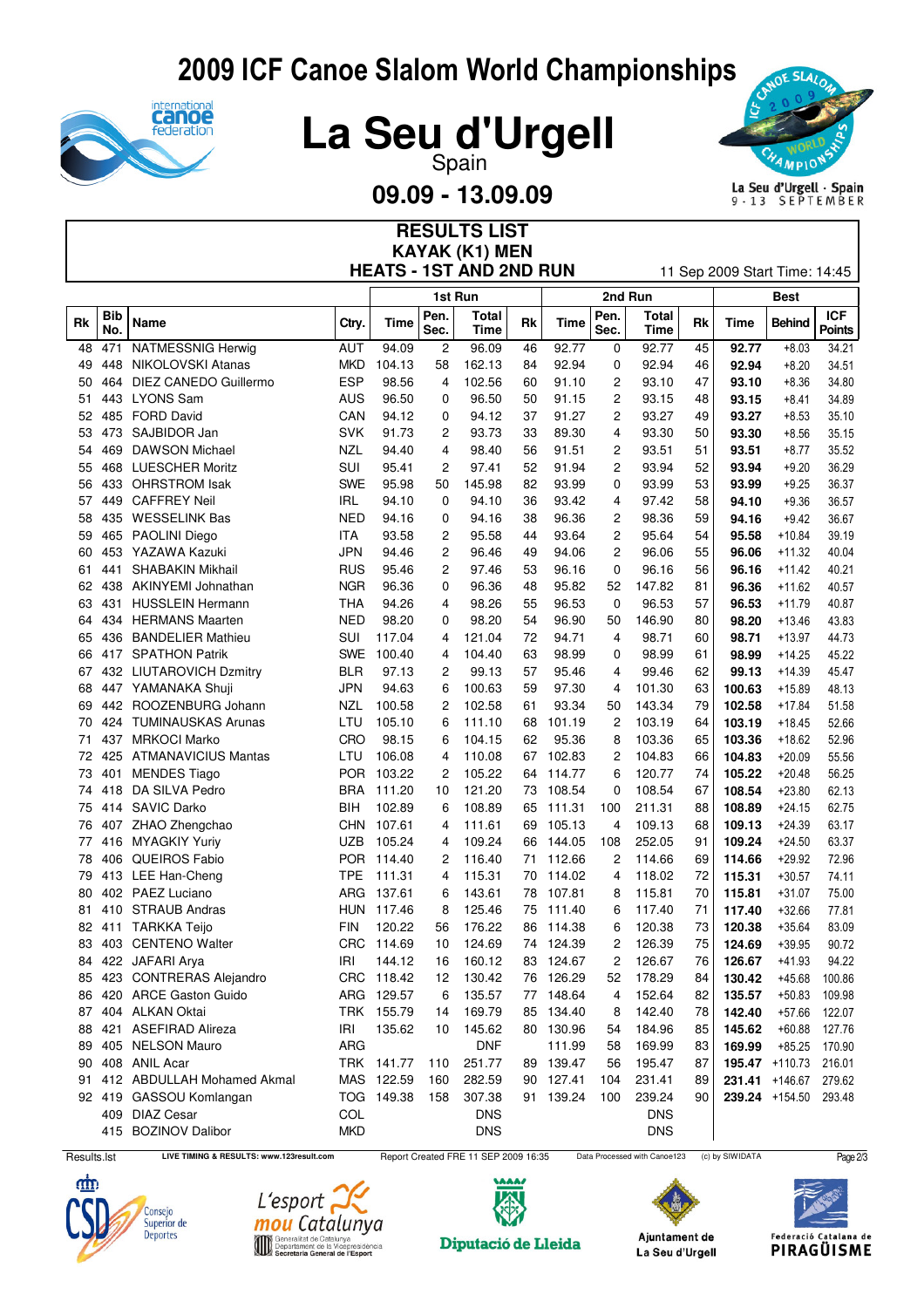## 2009 ICF Canoe Slalom World Championships





**09.09 - 13.09.09**

**RESULTS LIST**



La Seu d'Urgell · Spain<br>9 · 13 SEPTEMBER

| <b>KAYAK (K1) MEN</b><br><b>HEATS - 1ST AND 2ND RUN</b><br>11 Sep 2009 Start Time: 14:45 |            |                            |            |            |              |               |    |           |              |               |    |        |                |                             |
|------------------------------------------------------------------------------------------|------------|----------------------------|------------|------------|--------------|---------------|----|-----------|--------------|---------------|----|--------|----------------|-----------------------------|
|                                                                                          |            |                            |            |            |              | 1st Run       |    |           | 2nd Run      |               |    |        |                |                             |
| Rk                                                                                       | Bib<br>No. | <b>Name</b>                | Ctry.      | Time       | Pen.<br>Sec. | Total<br>Time | Rk | Time      | Pen.<br>Sec. | Total<br>Time | Rk | Time   | <b>Behind</b>  | <b>ICF</b><br><b>Points</b> |
| 48                                                                                       | 471        | NATMESSNIG Herwig          | <b>AUT</b> | 94.09      | 2            | 96.09         | 46 | 92.77     | 0            | 92.77         | 45 | 92.77  | $+8.03$        | 34.21                       |
| 49                                                                                       | 448        | NIKOLOVSKI Atanas          | <b>MKD</b> | 104.13     | 58           | 162.13        | 84 | 92.94     | 0            | 92.94         | 46 | 92.94  | $+8.20$        | 34.51                       |
| 50                                                                                       | 464        | DIEZ CANEDO Guillermo      | <b>ESP</b> | 98.56      | 4            | 102.56        | 60 | 91.10     | 2            | 93.10         | 47 | 93.10  | $+8.36$        | 34.80                       |
| 51                                                                                       | 443        | <b>LYONS Sam</b>           | <b>AUS</b> | 96.50      | 0            | 96.50         | 50 | 91.15     | 2            | 93.15         | 48 | 93.15  | $+8.41$        | 34.89                       |
| 52                                                                                       | 485        | <b>FORD David</b>          | CAN        | 94.12      | 0            | 94.12         | 37 | 91.27     | 2            | 93.27         | 49 | 93.27  | $+8.53$        | 35.10                       |
| 53                                                                                       | 473        | SAJBIDOR Jan               | <b>SVK</b> | 91.73      | 2            | 93.73         | 33 | 89.30     | 4            | 93.30         | 50 | 93.30  | $+8.56$        | 35.15                       |
| 54                                                                                       | 469        | <b>DAWSON Michael</b>      | NZL        | 94.40      | 4            | 98.40         | 56 | 91.51     | 2            | 93.51         | 51 | 93.51  | $+8.77$        | 35.52                       |
| 55                                                                                       | 468        | <b>LUESCHER Moritz</b>     | SUI        | 95.41      | 2            | 97.41         | 52 | 91.94     | 2            | 93.94         | 52 | 93.94  | $+9.20$        | 36.29                       |
| 56                                                                                       | 433        | <b>OHRSTROM Isak</b>       | <b>SWE</b> | 95.98      | 50           | 145.98        | 82 | 93.99     | 0            | 93.99         | 53 | 93.99  | $+9.25$        | 36.37                       |
| 57                                                                                       | 449        | <b>CAFFREY Neil</b>        | <b>IRL</b> | 94.10      | 0            | 94.10         | 36 | 93.42     | 4            | 97.42         | 58 | 94.10  | $+9.36$        | 36.57                       |
| 58                                                                                       | 435        | <b>WESSELINK Bas</b>       | <b>NED</b> | 94.16      | 0            | 94.16         | 38 | 96.36     | 2            | 98.36         | 59 | 94.16  | $+9.42$        | 36.67                       |
| 59                                                                                       | 465        | <b>PAOLINI Diego</b>       | ITA        | 93.58      | 2            | 95.58         | 44 | 93.64     | 2            | 95.64         | 54 | 95.58  | +10.84         | 39.19                       |
| 60                                                                                       |            | 453 YAZAWA Kazuki          | JPN        | 94.46      | 2            | 96.46         | 49 | 94.06     | 2            | 96.06         | 55 | 96.06  | $+11.32$       | 40.04                       |
| 61                                                                                       | 441        | <b>SHABAKIN Mikhail</b>    | <b>RUS</b> | 95.46      | 2            | 97.46         | 53 | 96.16     | 0            | 96.16         | 56 | 96.16  | +11.42         | 40.21                       |
| 62                                                                                       | 438        | AKINYEMI Johnathan         | <b>NGR</b> | 96.36      | 0            | 96.36         | 48 | 95.82     | 52           | 147.82        | 81 | 96.36  | +11.62         | 40.57                       |
| 63                                                                                       | 431        | <b>HUSSLEIN Hermann</b>    | <b>THA</b> | 94.26      | 4            | 98.26         | 55 | 96.53     | 0            | 96.53         | 57 | 96.53  | $+11.79$       | 40.87                       |
| 64                                                                                       | 434        | <b>HERMANS Maarten</b>     | <b>NED</b> | 98.20      | 0            | 98.20         | 54 | 96.90     | 50           | 146.90        | 80 | 98.20  | $+13.46$       | 43.83                       |
| 65                                                                                       | 436        | <b>BANDELIER Mathieu</b>   | SUI        | 117.04     | 4            | 121.04        | 72 | 94.71     | 4            | 98.71         | 60 | 98.71  | $+13.97$       | 44.73                       |
| 66                                                                                       |            | 417 SPATHON Patrik         | <b>SWE</b> | 100.40     | 4            | 104.40        | 63 | 98.99     | 0            | 98.99         | 61 | 98.99  | +14.25         | 45.22                       |
| 67                                                                                       |            | 432 LIUTAROVICH Dzmitry    | <b>BLR</b> | 97.13      | 2            | 99.13         | 57 | 95.46     | 4            | 99.46         | 62 | 99.13  | +14.39         | 45.47                       |
| 68                                                                                       |            | 447 YAMANAKA Shuji         | <b>JPN</b> | 94.63      | 6            | 100.63        | 59 | 97.30     | 4            | 101.30        | 63 | 100.63 | $+15.89$       | 48.13                       |
| 69                                                                                       | 442        | ROOZENBURG Johann          | NZL        | 100.58     | 2            | 102.58        | 61 | 93.34     | 50           | 143.34        | 79 | 102.58 | $+17.84$       | 51.58                       |
| 70                                                                                       | 424        | <b>TUMINAUSKAS Arunas</b>  | LTU        | 105.10     | 6            | 111.10        | 68 | 101.19    | 2            | 103.19        | 64 | 103.19 | $+18.45$       | 52.66                       |
| 71                                                                                       | 437        | <b>MRKOCI Marko</b>        | <b>CRO</b> | 98.15      | 6            | 104.15        | 62 | 95.36     | 8            | 103.36        | 65 | 103.36 | $+18.62$       | 52.96                       |
| 72                                                                                       | 425        | <b>ATMANAVICIUS Mantas</b> | LTU        | 106.08     | 4            | 110.08        | 67 | 102.83    | 2            | 104.83        | 66 | 104.83 | +20.09         | 55.56                       |
| 73                                                                                       | 401        | <b>MENDES Tiago</b>        | POR        | 103.22     | 2            | 105.22        | 64 | 114.77    | 6            | 120.77        | 74 | 105.22 | +20.48         | 56.25                       |
| 74                                                                                       |            | 418 DA SILVA Pedro         | <b>BRA</b> | 111.20     | 10           | 121.20        | 73 | 108.54    | 0            | 108.54        | 67 | 108.54 | $+23.80$       | 62.13                       |
| 75                                                                                       | 414        | <b>SAVIC Darko</b>         | <b>BIH</b> | 102.89     | 6            | 108.89        | 65 | 111.31    | 100          | 211.31        | 88 | 108.89 | $+24.15$       | 62.75                       |
| 76                                                                                       |            | 407 ZHAO Zhengchao         | <b>CHN</b> | 107.61     | 4            | 111.61        | 69 | 105.13    | 4            | 109.13        | 68 | 109.13 | $+24.39$       | 63.17                       |
| 77                                                                                       | 416        | MYAGKIY Yuriy              | <b>UZB</b> | 105.24     | 4            | 109.24        | 66 | 144.05    | 108          | 252.05        | 91 | 109.24 | $+24.50$       | 63.37                       |
| 78                                                                                       | 406        | QUEIROS Fabio              | POR        | 114.40     | 2            | 116.40        | 71 | 112.66    | 2            | 114.66        | 69 | 114.66 | +29.92         | 72.96                       |
| 79                                                                                       |            | 413 LEE Han-Cheng          | <b>TPE</b> | 111.31     | 4            | 115.31        | 70 | 114.02    | 4            | 118.02        | 72 | 115.31 | $+30.57$       | 74.11                       |
| 80                                                                                       |            | 402 PAEZ Luciano           | ARG        | 137.61     | 6            | 143.61        | 78 | 107.81    | 8            | 115.81        | 70 | 115.81 | $+31.07$       | 75.00                       |
| 81                                                                                       | 410        | <b>STRAUB Andras</b>       | <b>HUN</b> | 117.46     | 8            | 125.46        | 75 | 111.40    | 6            | 117.40        | 71 | 117.40 | $+32.66$       | 77.81                       |
| 82                                                                                       |            | 411 TARKKA Teijo           | <b>FIN</b> | 120.22     | 56           | 176.22        | 86 | 114.38    | 6            | 120.38        | 73 | 120.38 | $+35.64$       | 83.09                       |
| 83                                                                                       |            | 403 CENTENO Walter         |            | CRC 114.69 | 10           | 124.69        |    | 74 124.39 | 2            | 126.39        | 75 | 124.69 | $+39.95$       | 90.72                       |
| 84                                                                                       |            | 422 JAFARI Arya            | IRI        | 144.12     | 16           | 160.12        |    | 83 124.67 | 2            | 126.67        | 76 | 126.67 | $+41.93$       | 94.22                       |
| 85                                                                                       |            | 423 CONTRERAS Alejandro    |            | CRC 118.42 | 12           | 130.42        |    | 76 126.29 | 52           | 178.29        | 84 | 130.42 | $+45.68$       | 100.86                      |
| 86                                                                                       |            | 420 ARCE Gaston Guido      |            | ARG 129.57 | 6            | 135.57        |    | 77 148.64 | 4            | 152.64        | 82 | 135.57 | $+50.83$       | 109.98                      |
| 87                                                                                       |            | 404 ALKAN Oktai            |            | TRK 155.79 | 14           | 169.79        |    | 85 134.40 | 8            | 142.40        | 78 | 142.40 | $+57.66$       | 122.07                      |
| 88                                                                                       |            | 421 ASEFIRAD Alireza       | IRI        | 135.62     | 10           | 145.62        |    | 80 130.96 | 54           | 184.96        | 85 | 145.62 | $+60.88$       | 127.76                      |
| 89                                                                                       |            | 405 NELSON Mauro           | <b>ARG</b> |            |              | <b>DNF</b>    |    | 111.99    | 58           | 169.99        | 83 | 169.99 | $+85.25$       | 170.90                      |
| 90                                                                                       |            | 408 ANIL Acar              |            | TRK 141.77 | 110          | 251.77        |    | 89 139.47 | 56           | 195.47        | 87 |        | 195.47 +110.73 | 216.01                      |
| 91                                                                                       |            | 412 ABDULLAH Mohamed Akmal |            | MAS 122.59 | 160          | 282.59        |    | 90 127.41 | 104          | 231.41        | 89 | 231.41 | $+146.67$      | 279.62                      |
|                                                                                          |            | 92 419 GASSOU Komlangan    |            | TOG 149.38 | 158          | 307.38        |    | 91 139.24 | 100          | 239.24        | 90 |        | 239.24 +154.50 | 293.48                      |
|                                                                                          |            | 409 DIAZ Cesar             | COL        |            |              | <b>DNS</b>    |    |           |              | <b>DNS</b>    |    |        |                |                             |
|                                                                                          |            | 415 BOZINOV Dalibor        | <b>MKD</b> |            |              | <b>DNS</b>    |    |           |              | <b>DNS</b>    |    |        |                |                             |
|                                                                                          |            |                            |            |            |              |               |    |           |              |               |    |        |                |                             |







Diputació de Lleida

Results.lst LIVE TIMING & RESULTS: www.123result.com Report Created FRE 11 SEP 2009 16:35 Data Processed with Canoe123 (c) by SIWIDATA Page 2/3

Ajuntament de La Seu d'Urgell